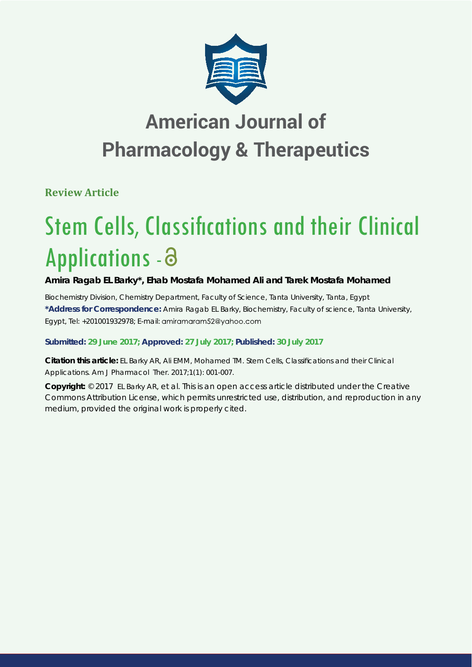

## **American Journal of Pharmacology & Therapeutics**

**Review Article**

# **Stem Cells, Classifications and their Clinical** Applications -

## **Amira Ragab EL Barky\*, Ehab Mostafa Mohamed Ali and Tarek Mostafa Mohamed**

*Biochemistry Division, Chemistry Department, Faculty of Science, Tanta University, Tanta, Egypt* **\*Address for Correspondence:** Amira Ragab EL Barky, Biochemistry, Faculty of science, Tanta University, Egypt, Tel: +201001932978; E-mail: amiramaram52@yahoo.com

### **Submitted: 29 June 2017; Approved: 27 July 2017; Published: 30 July 2017**

**Citation this article:** EL Barky AR, Ali EMM, Mohamed TM. Stem Cells, Classifications and their Clinical Applications. Am J Pharmacol Ther. 2017;1(1): 001-007.

**Copyright:** © 2017 EL Barky AR, et al. This is an open access article distributed under the Creative Commons Attribution License, which permits unrestricted use, distribution, and reproduction in any medium, provided the original work is properly cited.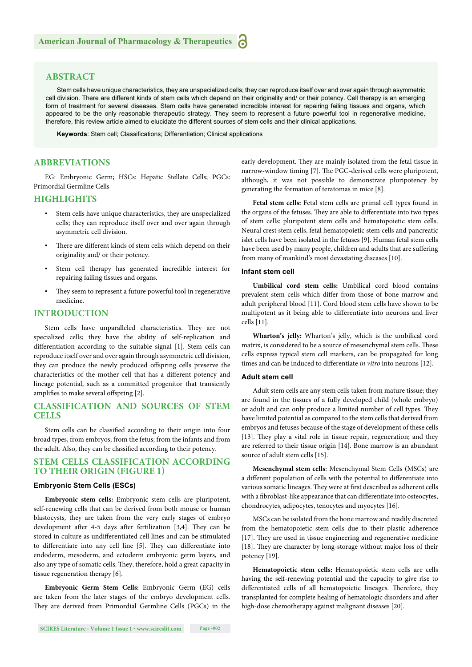#### **ABSTRACT**

Stem cells have unique characteristics, they are unspecialized cells; they can reproduce itself over and over again through asymmetric cell division. There are different kinds of stem cells which depend on their originality and/ or their potency. Cell therapy is an emerging form of treatment for several diseases. Stem cells have generated incredible interest for repairing failing tissues and organs, which appeared to be the only reasonable therapeutic strategy. They seem to represent a future powerful tool in regenerative medicine, therefore, this review article aimed to elucidate the different sources of stem cells and their clinical applications.

Keywords: Stem cell; Classifications; Differentiation; Clinical applications

#### **ABBREVIATIONS**

EG: Embryonic Germ; HSCs: Hepatic Stellate Cells; PGCs: Primordial Germline Cells

#### **HIGHLIGHITS**

- Stem cells have unique characteristics, they are unspecialized cells; they can reproduce itself over and over again through asymmetric cell division.
- There are different kinds of stem cells which depend on their originality and/ or their potency.
- Stem cell therapy has generated incredible interest for repairing failing tissues and organs.
- They seem to represent a future powerful tool in regenerative medicine.

#### **INTRODUCTION**

Stem cells have unparalleled characteristics. They are not specialized cells; they have the ability of self-replication and differentiation according to the suitable signal [1]. Stem cells can reproduce itself over and over again through asymmetric cell division, they can produce the newly produced offspring cells preserve the characteristics of the mother cell that has a different potency and lineage potential, such as a committed progenitor that transiently amplifies to make several offspring [2].

#### **CLASSIFICATION AND SOURCES OF STEM CELLS**

Stem cells can be classified according to their origin into four broad types, from embryos; from the fetus; from the infants and from the adult. Also, they can be classified according to their potency.

#### **STEM CELLS CLASSIFICATION ACCORDING TO THEIR ORIGIN (FIGURE 1)**

#### **Embryonic Stem Cells (ESCs)**

**Embryonic stem cells:** Embryonic stem cells are pluripotent, self-renewing cells that can be derived from both mouse or human blastocysts, they are taken from the very early stages of embryo development after 4-5 days after fertilization  $[3,4]$ . They can be stored in culture as undifferentiated cell lines and can be stimulated to differentiate into any cell line [5]. They can differentiate into endoderm, mesoderm, and ectoderm embryonic germ layers, and also any type of somatic cells. They, therefore, hold a great capacity in tissue regeneration therapy [6].

**Embryonic Germ Stem Cells:** Embryonic Germ (EG) cells are taken from the later stages of the embryo development cells. They are derived from Primordial Germline Cells (PGCs) in the early development. They are mainly isolated from the fetal tissue in narrow-window timing [7]. The PGC-derived cells were pluripotent, although, it was not possible to demonstrate pluripotency by generating the formation of teratomas in mice [8].

**Fetal stem cells:** Fetal stem cells are primal cell types found in the organs of the fetuses. They are able to differentiate into two types of stem cells: pluripotent stem cells and hematopoietic stem cells. Neural crest stem cells, fetal hematopoietic stem cells and pancreatic islet cells have been isolated in the fetuses [9]. Human fetal stem cells have been used by many people, children and adults that are suffering from many of mankind's most devastating diseases [10].

#### **Infant stem cell**

**Umbilical cord stem cells:** Umbilical cord blood contains prevalent stem cells which differ from those of bone marrow and adult peripheral blood [11]. Cord blood stem cells have shown to be multipotent as it being able to differentiate into neurons and liver cells [11].

**Wharton's jelly:** Wharton's jelly, which is the umbilical cord matrix, is considered to be a source of mesenchymal stem cells. These cells express typical stem cell markers, can be propagated for long times and can be induced to differentiate *in vitro* into neurons [12].

#### **Adult stem cell**

Adult stem cells are any stem cells taken from mature tissue; they are found in the tissues of a fully developed child (whole embryo) or adult and can only produce a limited number of cell types. They have limited potential as compared to the stem cells that derived from embryos and fetuses because of the stage of development of these cells [13]. They play a vital role in tissue repair, regeneration; and they are referred to their tissue origin [14]. Bone marrow is an abundant source of adult stem cells [15].

**Mesenchymal stem cells**: Mesenchymal Stem Cells (MSCs) are a different population of cells with the potential to differentiate into various somatic lineages. They were at first described as adherent cells with a fibroblast-like appearance that can differentiate into osteocytes, chondrocytes, adipocytes, tenocytes and myocytes [16].

MSCs can be isolated from the bone marrow and readily discreted from the hematopoietic stem cells due to their plastic adherence [17]. They are used in tissue engineering and regenerative medicine [18]. They are character by long-storage without major loss of their potency [19].

**Hematopoietic stem cells:** Hematopoietic stem cells are cells having the self-renewing potential and the capacity to give rise to differentiated cells of all hematopoietic lineages. Therefore, they transplanted for complete healing of hematologic disorders and after high-dose chemotherapy against malignant diseases [20].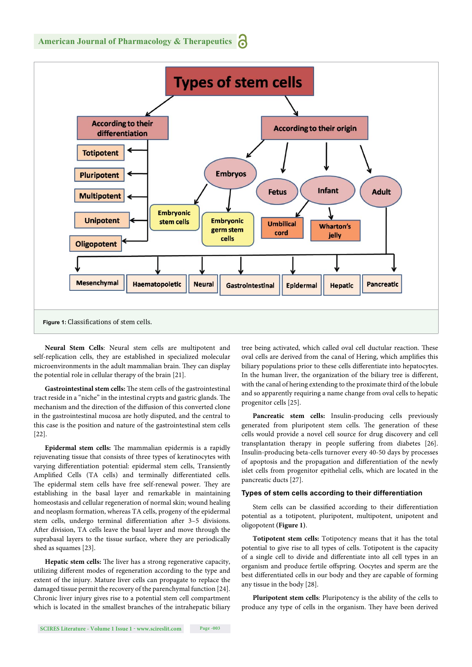

**Neural Stem Cells**: Neural stem cells are multipotent and self-replication cells, they are established in specialized molecular microenvironments in the adult mammalian brain. They can display the potential role in cellular therapy of the brain [21].

Gastrointestinal stem cells: The stem cells of the gastrointestinal tract reside in a "niche" in the intestinal crypts and gastric glands. The mechanism and the direction of the diffusion of this converted clone in the gastrointestinal mucosa are hotly disputed, and the central to this case is the position and nature of the gastrointestinal stem cells [22].

Epidermal stem cells: The mammalian epidermis is a rapidly rejuvenating tissue that consists of three types of keratinocytes with varying differentiation potential: epidermal stem cells, Transiently Amplified Cells (TA cells) and terminally differentiated cells. The epidermal stem cells have free self-renewal power. They are establishing in the basal layer and remarkable in maintaining homeostasis and cellular regeneration of normal skin; wound healing and neoplasm formation, whereas TA cells, progeny of the epidermal stem cells, undergo terminal differentiation after 3-5 divisions. After division, TA cells leave the basal layer and move through the suprabasal layers to the tissue surface, where they are periodically shed as squames [23].

Hepatic stem cells: The liver has a strong regenerative capacity, utilizing different modes of regeneration according to the type and extent of the injury. Mature liver cells can propagate to replace the damaged tissue permit the recovery of the parenchymal function [24]. Chronic liver injury gives rise to a potential stem cell compartment which is located in the smallest branches of the intrahepatic biliary tree being activated, which called oval cell ductular reaction. These oval cells are derived from the canal of Hering, which amplifies this biliary populations prior to these cells differentiate into hepatocytes. In the human liver, the organization of the biliary tree is different, with the canal of hering extending to the proximate third of the lobule and so apparently requiring a name change from oval cells to hepatic progenitor cells [25].

**Pancreatic stem cells:** Insulin-producing cells previously generated from pluripotent stem cells. The generation of these cells would provide a novel cell source for drug discovery and cell transplantation therapy in people suffering from diabetes [26]. Insulin-producing beta-cells turnover every 40-50 days by processes of apoptosis and the propagation and differentiation of the newly islet cells from progenitor epithelial cells, which are located in the pancreatic ducts [27].

#### **Types of stem cells according to their differentiation**

Stem cells can be classified according to their differentiation potential as a totipotent, pluripotent, multipotent, unipotent and oligopotent **(Figure 1)**.

**Totipotent stem cells:** Totipotency means that it has the total potential to give rise to all types of cells. Totipotent is the capacity of a single cell to divide and differentiate into all cell types in an organism and produce fertile offspring. Oocytes and sperm are the best differentiated cells in our body and they are capable of forming any tissue in the body [28].

**Pluripotent stem cells**: Pluripotency is the ability of the cells to produce any type of cells in the organism. They have been derived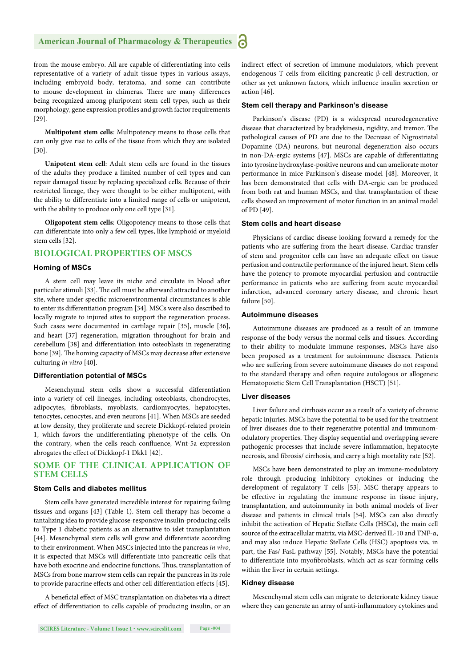from the mouse embryo. All are capable of differentiating into cells representative of a variety of adult tissue types in various assays, including embryoid body, teratoma, and some can contribute to mouse development in chimeras. There are many differences being recognized among pluripotent stem cell types, such as their morphology, gene expression profiles and growth factor requirements [29].

**Multipotent stem cells***:* Multipotency means to those cells that can only give rise to cells of the tissue from which they are isolated [30].

**Unipotent stem cell**: Adult stem cells are found in the tissues of the adults they produce a limited number of cell types and can repair damaged tissue by replacing specialized cells. Because of their restricted lineage, they were thought to be either multipotent, with the ability to differentiate into a limited range of cells or unipotent, with the ability to produce only one cell type [31].

**Oligopotent stem cells**: Oligopotency means to those cells that can differentiate into only a few cell types, like lymphoid or myeloid stem cells [32].

#### **BIOLOGICAL PROPERTIES OF MSCS**

#### **Homing of MSCs**

A stem cell may leave its niche and circulate in blood after particular stimuli [33]. The cell must be afterward attracted to another site, where under specific microenvironmental circumstances is able to enter its differentiation program [34]. MSCs were also described to locally migrate to injured sites to support the regeneration process. Such cases were documented in cartilage repair [35], muscle [36], and heart [37] regeneration, migration throughout for brain and cerebellum [38] and differentiation into osteoblasts in regenerating bone [39]. The homing capacity of MSCs may decrease after extensive culturing *in vitro* [40].

#### **Differentiation potential of MSCs**

Mesenchymal stem cells show a successful differentiation into a variety of cell lineages, including osteoblasts, chondrocytes, adipocytes, fibroblasts, myoblasts, cardiomyocytes, hepatocytes, tenocytes, cenocytes, and even neurons [41]. When MSCs are seeded at low density, they proliferate and secrete Dickkopf-related protein 1, which favors the undifferentiating phenotype of the cells. On the contrary, when the cells reach confluence, Wnt-5a expression abrogates the effect of Dickkopf-1 Dkk1 [42].

#### **SOME OF THE CLINICAL APPLICATION OF STEM CELLS**

#### **Stem Cells and diabetes mellitus**

Stem cells have generated incredible interest for repairing failing tissues and organs [43] (Table 1). Stem cell therapy has become a tantalizing idea to provide glucose-responsive insulin-producing cells to Type 1 diabetic patients as an alternative to islet transplantation [44]. Mesenchymal stem cells will grow and differentiate according to their environment. When MSCs injected into the pancreas *in vivo*, it is expected that MSCs will differentiate into pancreatic cells that have both exocrine and endocrine functions. Thus, transplantation of MSCs from bone marrow stem cells can repair the pancreas in its role to provide paracrine effects and other cell differentiation effects [45].

A beneficial effect of MSC transplantation on diabetes via a direct effect of differentiation to cells capable of producing insulin, or an indirect effect of secretion of immune modulators, which prevent endogenous T cells from eliciting pancreatic β-cell destruction, or other as yet unknown factors, which influence insulin secretion or action [46].

#### **Stem cell therapy and Parkinson's disease**

Parkinson's disease (PD) is a widespread neurodegenerative disease that characterized by bradykinesia, rigidity, and tremor. The pathological causes of PD are due to the Decrease of Nigrostriatal Dopamine (DA) neurons, but neuronal degeneration also occurs in non-DA-ergic systems [47]. MSCs are capable of differentiating into tyrosine hydroxylase-positive neurons and can ameliorate motor performance in mice Parkinson's disease model [48]. Moreover, it has been demonstrated that cells with DA-ergic can be produced from both rat and human MSCs, and that transplantation of these cells showed an improvement of motor function in an animal model of PD [49].

#### **Stem cells and heart disease**

Physicians of cardiac disease looking forward a remedy for the patients who are suffering from the heart disease. Cardiac transfer of stem and progenitor cells can have an adequate effect on tissue perfusion and contractile performance of the injured heart. Stem cells have the potency to promote myocardial perfusion and contractile performance in patients who are suffering from acute myocardial infarction, advanced coronary artery disease, and chronic heart failure [50].

#### **Autoimmune diseases**

Autoimmune diseases are produced as a result of an immune response of the body versus the normal cells and tissues. According to their ability to modulate immune responses, MSCs have also been proposed as a treatment for autoimmune diseases. Patients who are suffering from severe autoimmune diseases do not respond to the standard therapy and often require autologous or allogeneic Hematopoietic Stem Cell Transplantation (HSCT) [51].

#### **Liver diseases**

Liver failure and cirrhosis occur as a result of a variety of chronic hepatic injuries. MSCs have the potential to be used for the treatment of liver diseases due to their regenerative potential and immunomodulatory properties. They display sequential and overlapping severe pathogenic processes that include severe inflammation, hepatocyte necrosis, and fibrosis/ cirrhosis, and carry a high mortality rate [52].

MSCs have been demonstrated to play an immune-modulatory role through producing inhibitory cytokines or inducing the development of regulatory T cells [53]. MSC therapy appears to be effective in regulating the immune response in tissue injury, transplantation, and autoimmunity in both animal models of liver disease and patients in clinical trials [54]. MSCs can also directly inhibit the activation of Hepatic Stellate Cells (HSCs), the main cell source of the extracellular matrix, via MSC-derived IL-10 and TNF-α, and may also induce Hepatic Stellate Cells (HSC) apoptosis via, in part, the Fas/ FasL pathway [55]. Notably, MSCs have the potential to differentiate into myofibroblasts, which act as scar-forming cells within the liver in certain settings.

#### **Kidney disease**

Mesenchymal stem cells can migrate to deteriorate kidney tissue where they can generate an array of anti-inflammatory cytokines and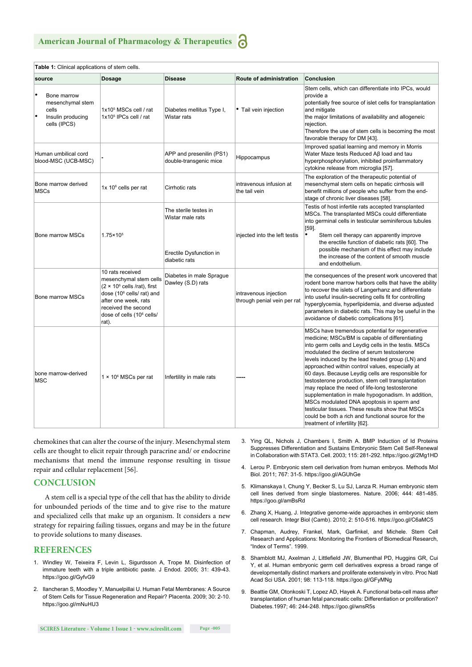| Table 1: Clinical applications of stem cells.                                 |                                                                                                                                                                                                                                     |                                                                                       |                                                      |                                                                                                                                                                                                                                                                                                                                                                                                                                                                                                                                                                                                                                                                                                                               |
|-------------------------------------------------------------------------------|-------------------------------------------------------------------------------------------------------------------------------------------------------------------------------------------------------------------------------------|---------------------------------------------------------------------------------------|------------------------------------------------------|-------------------------------------------------------------------------------------------------------------------------------------------------------------------------------------------------------------------------------------------------------------------------------------------------------------------------------------------------------------------------------------------------------------------------------------------------------------------------------------------------------------------------------------------------------------------------------------------------------------------------------------------------------------------------------------------------------------------------------|
| source                                                                        | <b>Dosage</b>                                                                                                                                                                                                                       | <b>Disease</b>                                                                        | Route of administration                              | Conclusion                                                                                                                                                                                                                                                                                                                                                                                                                                                                                                                                                                                                                                                                                                                    |
| Bone marrow<br>mesenchymal stem<br>cells<br>Insulin producing<br>cells (IPCS) | 1x10 <sup>5</sup> MSCs cell / rat<br>1x10 <sup>5</sup> IPCs cell / rat                                                                                                                                                              | Diabetes mellitus Type I,<br>Wistar rats                                              | • Tail vein injection                                | Stem cells, which can differentiate into IPCs, would<br>provide a<br>potentially free source of islet cells for transplantation<br>and mitigate<br>the major limitations of availability and allogeneic<br>rejection.<br>Therefore the use of stem cells is becoming the most<br>favorable therapy for DM [43].                                                                                                                                                                                                                                                                                                                                                                                                               |
| Human umbilical cord<br>blood-MSC (UCB-MSC)                                   |                                                                                                                                                                                                                                     | APP and presenilin (PS1)<br>double-transgenic mice                                    | Hippocampus                                          | Improved spatial learning and memory in Morris<br>Water Maze tests Reduced Aβ load and tau<br>hyperphosphorylation, inhibited proinflammatory<br>cytokine release from microglia [57].                                                                                                                                                                                                                                                                                                                                                                                                                                                                                                                                        |
| Bone marrow derived<br><b>MSCs</b>                                            | 1x 10 $\mathrm{^6}$ cells per rat                                                                                                                                                                                                   | Cirrhotic rats                                                                        | intravenous infusion at<br>the tail vein             | The exploration of the therapeutic potential of<br>mesenchymal stem cells on hepatic cirrhosis will<br>benefit millions of people who suffer from the end-<br>stage of chronic liver diseases [58].                                                                                                                                                                                                                                                                                                                                                                                                                                                                                                                           |
| <b>Bone marrow MSCs</b>                                                       | $1.75 \times 10^{5}$                                                                                                                                                                                                                | The sterile testes in<br>Wistar male rats<br>Erectile Dysfunction in<br>diabetic rats | injected into the left testis                        | Testis of host infertile rats accepted transplanted<br>MSCs. The transplanted MSCs could differentiate<br>into germinal cells in testicular seminiferous tubules<br>$[59]$ .<br>Stem cell therapy can apparently improve<br>the erectile function of diabetic rats [60]. The<br>possible mechanism of this effect may include<br>the increase of the content of smooth muscle<br>and endothelium.                                                                                                                                                                                                                                                                                                                             |
| <b>Bone marrow MSCs</b>                                                       | 10 rats received<br>mesenchymal stem cells<br>$(2 \times 10^6 \text{ cells/rat})$ , first<br>dose (10 <sup>6</sup> cells/ rat) and<br>after one week, rats<br>received the second<br>dose of cells (10 <sup>6</sup> cells/<br>rat). | Diabetes in male Sprague<br>Dawley (S.D) rats                                         | intravenous injection<br>through penial vein per rat | the consequences of the present work uncovered that<br>rodent bone marrow harbors cells that have the ability<br>to recover the islets of Langerhanz and differentiate<br>into useful insulin-secreting cells fit for controlling<br>hyperglycemia, hyperlipidemia, and diverse adjusted<br>parameters in diabetic rats. This may be useful in the<br>avoidance of diabetic complications [61].                                                                                                                                                                                                                                                                                                                               |
| bone marrow-derived<br><b>MSC</b>                                             | $1 \times 10^6$ MSCs per rat                                                                                                                                                                                                        | Infertility in male rats                                                              |                                                      | MSCs have tremendous potential for regenerative<br>medicine; MSCs/BM is capable of differentiating<br>into germ cells and Leydig cells in the testis. MSCs<br>modulated the decline of serum testosterone<br>levels induced by the lead treated group (LN) and<br>approached within control values, especially at<br>60 days. Because Leydig cells are responsible for<br>testosterone production, stem cell transplantation<br>may replace the need of life-long testosterone<br>supplementation in male hypogonadism. In addition,<br>MSCs modulated DNA apoptosis in sperm and<br>testicular tissues. These results show that MSCs<br>could be both a rich and functional source for the<br>treatment of infertility [62]. |

chemokines that can alter the course of the injury. Mesenchymal stem cells are thought to elicit repair through paracrine and/ or endocrine mechanisms that mend the immune response resulting in tissue repair and cellular replacement [56].

#### **CONCLUSION**

A stem cell is a special type of the cell that has the ability to divide for unbounded periods of the time and to give rise to the mature and specialized cells that make up an organism. It considers a new strategy for repairing failing tissues, organs and may be in the future to provide solutions to many diseases.

#### **REFERENCES**

- 1. Windley W, Teixeira F, Levin L, Sigurdsson A, Trope M. Disinfection of immature teeth with a triple antibiotic paste. J Endod. 2005; 31: 439-43. https://goo.gl/GyfvG9
- 2. Ilancheran S, Moodley Y, Manuelpillai U. Human Fetal Membranes: A Source of Stem Cells for Tissue Regeneration and Repair? Placenta. 2009; 30: 2-10. https://goo.gl/mNuHU3
- 3. Ying QL, Nichols J, Chambers I, Smith A. BMP Induction of Id Proteins Suppresses Differentiation and Sustains Embryonic Stem Cell Self-Renewal in Collaboration with STAT3. Cell. 2003; 115: 281-292. https://goo.gl/2Mg1HD
- 4. Lerou P. Embryonic stem cell derivation from human embryos. Methods Mol Biol. 2011; 767: 31-5. https://goo.gl/AGUhGe
- 5. Klimanskaya I, Chung Y, Becker S, Lu SJ, Lanza R. Human embryonic stem cell lines derived from single blastomeres. Nature. 2006; 444: 481-485. https://goo.gl/amBsRd
- 6. Zhang X, Huang, J. Integrative genome-wide approaches in embryonic stem cell research. Integr Biol (Camb). 2010; 2: 510-516. https://goo.gl/C6aMC5
- 7. Chapman, Audrey, Frankel, Mark, Garfinkel, and Michele. Stem Cell Research and Applications: Monitoring the Frontiers of Biomedical Research, "Index of Terms". 1999.
- 8. Shamblott MJ, Axelman J, Littlefield JW, Blumenthal PD, Huggins GR, Cui Y, et al. Human embryonic germ cell derivatives express a broad range of developmentally distinct markers and proliferate extensively in vitro. Proc Natl Acad Sci USA. 2001; 98: 113-118. https://goo.gl/GFyMNg
- 9. Beattie GM, Otonkoski T, Lopez AD, Hayek A. Functional beta-cell mass after transplantation of human fetal pancreatic cells: Differentiation or proliferation? Diabetes.1997; 46: 244-248. https://goo.gl/wnsR5s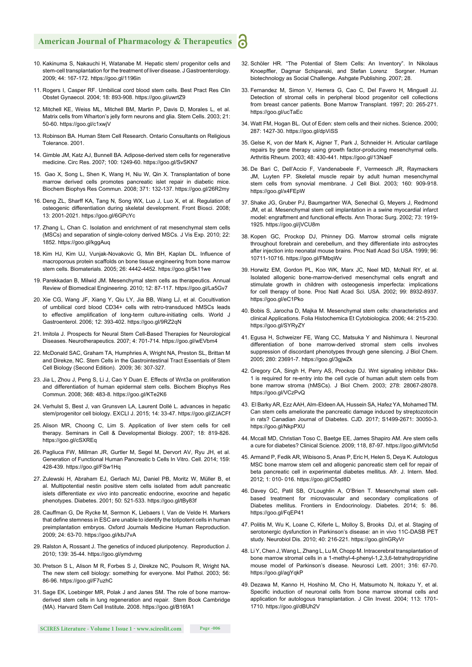- 10. Kakinuma S, Nakauchi H, Watanabe M. Hepatic stem/ progenitor cells and stem-cell transplantation for the treatment of liver disease. J Gastroenterology. 2009; 44: 167-172. https://goo.gl/1196in
- 11. Rogers I, Casper RF. Umbilical cord blood stem cells. Best Pract Res Clin Obstet Gynaecol. 2004; 18: 893-908. https://goo.gl/uwrtZ9
- 12. Mitchell KE, Weiss ML, Mitchell BM, Martin P, Davis D, Morales L, et al. Matrix cells from Wharton's jelly form neurons and glia. Stem Cells. 2003; 21: 50-60. https://goo.gl/c1xwjV
- 13. Robinson BA. Human Stem Cell Research. Ontario Consultants on Religious Tolerance. 2001.
- 14. Gimble JM, Katz AJ, Bunnell BA. Adipose-derived stem cells for regenerative medicine. Circ Res. 2007; 100: 1249-60. https://goo.gl/SvSKN7
- 15. Gao X, Song L, Shen K, Wang H, Niu W, Qin X. Transplantation of bone marrow derived cells promotes pancreatic islet repair in diabetic mice. Biochem Biophys Res Commun. 2008; 371: 132-137. https://goo.gl/26R2my
- 16. Deng ZL, Sharff KA, Tang N, Song WX, Luo J, Luo X, et al. Regulation of osteogenic differentiation during skeletal development. Front Biosci. 2008; 13: 2001-2021. https://goo.gl/6GPcYc
- 17. Zhang L, Chan C. Isolation and enrichment of rat mesenchymal stem cells (MSCs) and separation of single-colony derived MSCs. J Vis Exp. 2010; 22: 1852. https://goo.gl/kggAuq
- 18. Kim HJ, Kim UJ, Vunjak-Novakovic G, Min BH, Kaplan DL, Influence of macroporous protein scaffolds on bone tissue engineering from bone marrow stem cells. Biomaterials. 2005; 26: 4442-4452. https://goo.gl/5k11we
- 19. Parekkadan B, Milwid JM. Mesenchymal stem cells as therapeutics. Annual Review of Biomedical Engineering. 2010; 12: 87-117. https://goo.gl/La5Gv7
- 20. Xie CG, Wang JF, Xiang Y, Qiu LY, Jia BB, Wang LJ, et al. Cocultivation of umbilical cord blood CD34+ cells with retro-transduced hMSCs leads to effective amplification of long-term culture-initiating cells. World J Gastroenterol. 2006; 12: 393-402. https://goo.gl/9RZ2qN
- 21. Imitola J. Prospects for Neural Stem Cell-Based Therapies for Neurological Diseases. Neurotherapeutics. 2007; 4: 701-714. https://goo.gl/wEVbm4
- 22. McDonald SAC, Graham TA, Humphries A, Wright NA, Preston SL, Brittan M and Direkze, NC. Stem Cells in the Gastrointestinal Tract Essentials of Stem Cell Biology (Second Edition). 2009; 36: 307-327.
- 23. Jia L, Zhou J, Peng S, Li J, Cao Y Duan E. Effects of Wnt3a on proliferation and differentiation of human epidermal stem cells. Biochem Biophys Res Commun. 2008; 368: 483-8. https://goo.gl/KTe2K6
- 24. Verhulst S, Best J, van Grunsven LA, Laurent Dollé L. advances in hepatic stem/progenitor cell biology. EXCLI J. 2015; 14: 33-47. https://goo.gl/ZJACFf
- 25. Alison MR, Choong C, Lim S. Application of liver stem cells for cell therapy. Seminars in Cell & Developmental Biology. 2007; 18: 819-826. https://goo.gl/cSXREq
- 26. Pagliuca FW, Millman JR, Gurtler M, Segel M, Dervort AV, Ryu JH, et al. Generation of Functional Human Pancreatic b Cells In Vitro. Cell. 2014; 159: 428-439. https://goo.gl/FSw1Hq
- 27. Zulewski H, Abraham EJ, Gerlach MJ, Daniel PB, Moritz W, Müller B, et al. Multipotential nestin positive stem cells isolated from adult pancreatic islets differentiate *ex vivo* into pancreatic endocrine, exocrine and hepatic phenotypes. Diabetes. 2001; 50: 521-533. https://goo.gl/tBy83f
- 28. Cauffman G, De Rycke M, Sermon K, Liebaers I, Van de Velde H. Markers that define stemness in ESC are unable to identify the totipotent cells in human preimplantation embryos. Oxford Journals Medicine Human Reproduction. 2009; 24: 63-70. https://goo.gl/kbJ7vA
- 29. Ralston A, Rossant J. The genetics of induced pluripotency. Reproduction J. 2010; 139: 35-44. https://goo.gl/ymdvmg
- 30. Pretson S L, Alison M R, Forbes S J, Direkze NC, Poulsom R, Wright NA. The new stem cell biology: something for everyone. Mol Pathol. 2003; 56: 86-96. https://goo.gl/F7uzhC
- 31. Sage EK, Loebinger MR, Polak J and Janes SM. The role of bone marrowderived stem cells in lung regeneration and repair*.* Stem Book Cambridge (MA). Harvard Stem Cell Institute. 2008. https://goo.gl/B16fA1
- 32. Schöler HR. "The Potential of Stem Cells: An Inventory". In Nikolaus Knoepffler, Dagmar Schipanski, and Stefan Lorenz Sorgner. Human biotechnology as Social Challenge. Ashgate Publishing. 2007; 28.
- 33. Fernandez M, Simon V, Herrera G, Cao C, Del Favero H, Minguell JJ. Detection of stromal cells in peripheral blood progenitor cell collections from breast cancer patients. Bone Marrow Transplant. 1997; 20: 265-271. https://goo.gl/ucTaEc
- 34. Watt FM, Hogan BL. Out of Eden: stem cells and their niches. Science. 2000; 287: 1427-30. https://goo.gl/dpViSS
- 35. Gelse K, von der Mark K, Aigner T, Park J, Schneider H. Articular cartilage repairs by gene therapy using growth factor-producing mesenchymal cells. Arthritis Rheum*.* 2003; 48: 430-441. https://goo.gl/13NaeF
- 36. De Bari C, Dell'Accio F, Vandenabeele F, Vermeesch JR, Raymackers JM, Luyten FP. Skeletal muscle repair by adult human mesenchymal stem cells from synovial membrane. J Cell Biol. 2003*;* 160: 909-918. https://goo.gl/x4FEpW
- 37. Shake JG, Gruber PJ, Baumgartner WA, Senechal G, Meyers J, Redmond JM, et al. Mesenchymal stem cell implantation in a swine myocardial infarct model: engraftment and functional effects. Ann Thorac Surg. 2002*;* 73: 1919- 1925. https://goo.gl/jVCU8m
- 38. Kopen GC, Prockop DJ, Phinney DG. Marrow stromal cells migrate throughout forebrain and cerebellum, and they differentiate into astrocytes after injection into neonatal mouse brains. Proc Natl Acad Sci USA. 1999; 96: 10711-10716. https://goo.gl/FMbqWv
- 39. Horwitz EM, Gordon PL, Koo WK, Marx JC, Neel MD, McNall RY, et al. Isolated allogenic bone-marrow-derived mesenchymal cells engraft and stimulate growth in children with osteogenesis imperfecta: implications for cell therapy of bone. Proc Natl Acad Sci. USA*.* 2002; 99: 8932-8937. https://goo.gl/eC1Pko
- 40. Bobis S, Jarocha D, Majka M. Mesenchymal stem cells: characteristics and clinical Applications. Folia Histochemica Et Cytobiologica. 2006; 44: 215-230. https://goo.gl/SYRyZY
- 41. Egusa H, Schweizer FE, Wang CC, Matsuka Y and Nishimura I. Neuronal differentiation of bone marrow-derived stromal stem cells involves suppression of discordant phenotypes through gene silencing. J Biol Chem. 2005; 280: 23691-7. https://goo.gl/3gjwZk
- 42. Gregory CA, Singh H, Perry AS, Prockop DJ. Wnt signaling inhibitor Dkk-1 is required for re-entry into the cell cycle of human adult stem cells from bone marrow stroma (hMSCs). J Biol Chem. 2003; 278: 28067-28078. https://goo.gl/VCzPvQ
- 43. El Barky AR, Ezz AAH, Alm-Eldeen AA, Hussein SA, Hafez YA, Mohamed TM. Can stem cells ameliorate the pancreatic damage induced by streptozotocin in rats? Canadian Journal of Diabetes. CJD. 2017; S1499-2671: 30050-3. https://goo.gl/NkpPXU
- 44. Mccall MD, Christian Toso C, Baetge EE, James Shapiro AM. Are stem cells a cure for diabetes? Clinical Science. 2009; 118, 87-97. https://goo.gl/MVtc5d
- 45. Armand P, Fedik AR, Wibisono S, Anas P, Eric H, Helen S, Deya K. Autologus MSC bone marrow stem cell and allogenic pancreatic stem cell for repair of beta pancreatic cell in experimental diabetes mellitus. Afr. J. Intern. Med. 2012; 1: 010- 016. https://goo.gl/C5qd8D
- 46. Davey GC, Patil SB, O'Loughlin A, O'Brien T. Mesenchymal stem cellbased treatment for microvascular and secondary complications of Diabetes mellitus. Frontiers in Endocrinology. Diabetes. 2014; 5: 86. https://goo.gl/FqEP41
- 47. Politis M, Wu K, Loane C, Kiferle L, Molloy S, Brooks DJ, et al. Staging of serotonergic dysfunction in Parkinson's disease: an in vivo 11C-DASB PET study. Neurobiol Dis. 2010; 40: 216-221. https://goo.gl/nGRyVr
- 48. Li Y, Chen J, Wang L, Zhang L, Lu M, Chopp M. Intracerebral transplantation of bone marrow stromal cells in a 1-methyl-4-phenyl-1,2,3,6-tetrahydropyridine mouse model of Parkinson's disease. Neurosci Lett. 2001; 316: 67-70. https://goo.gl/agYqkP
- 49. Dezawa M, Kanno H, Hoshino M, Cho H, Matsumoto N, Itokazu Y, et al. Specific induction of neuronal cells from bone marrow stromal cells and application for autologous transplantation. J Clin Invest. 2004; 113: 1701- 1710. https://goo.gl/dBUh2V